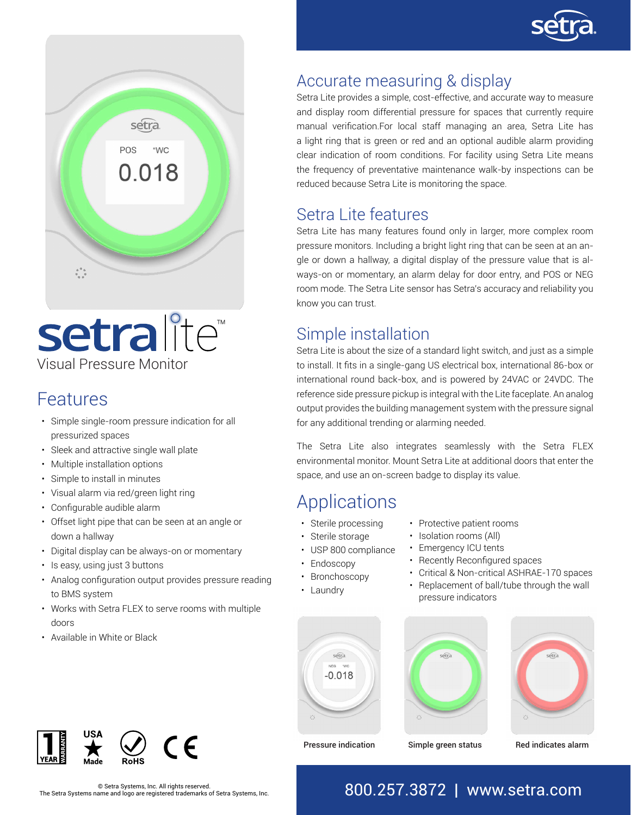



# Visual Pressure Monitor setralite<sup>®</sup>

### Features

- Simple single-room pressure indication for all pressurized spaces
- Sleek and attractive single wall plate
- Multiple installation options
- Simple to install in minutes
- Visual alarm via red/green light ring
- Configurable audible alarm
- Offset light pipe that can be seen at an angle or down a hallway
- Digital display can be always-on or momentary
- Is easy, using just 3 buttons
- Analog configuration output provides pressure reading to BMS system
- Works with Setra FLEX to serve rooms with multiple doors
- Available in White or Black



# Accurate measuring & display

Setra Lite provides a simple, cost-effective, and accurate way to measure and display room differential pressure for spaces that currently require manual verification.For local staff managing an area, Setra Lite has a light ring that is green or red and an optional audible alarm providing clear indication of room conditions. For facility using Setra Lite means the frequency of preventative maintenance walk-by inspections can be reduced because Setra Lite is monitoring the space.

### Setra Lite features

Setra Lite has many features found only in larger, more complex room pressure monitors. Including a bright light ring that can be seen at an angle or down a hallway, a digital display of the pressure value that is always-on or momentary, an alarm delay for door entry, and POS or NEG room mode. The Setra Lite sensor has Setra's accuracy and reliability you know you can trust.

### Simple installation

Setra Lite is about the size of a standard light switch, and just as a simple to install. It fits in a single-gang US electrical box, international 86-box or international round back-box, and is powered by 24VAC or 24VDC. The reference side pressure pickup is integral with the Lite faceplate. An analog output provides the building management system with the pressure signal for any additional trending or alarming needed.

The Setra Lite also integrates seamlessly with the Setra FLEX environmental monitor. Mount Setra Lite at additional doors that enter the space, and use an on-screen badge to display its value.

# Applications

- Sterile processing
- Sterile storage
- USP 800 compliance
- Endoscopy
- Bronchoscopy
- Laundry







Pressure indication Simple green status Red indicates alarm

### The Setra Systems, Inc. All rights reserved.<br>The Setra Systems name and logo are registered trademarks of Setra Systems, Inc. 800.257.3872 | www.setra.com

• Protective patient rooms • Isolation rooms (All)

- Emergency ICU tents
- Recently Reconfigured spaces
- Critical & Non-critical ASHRAE-170 spaces

### • Replacement of ball/tube through the wall pressure indicators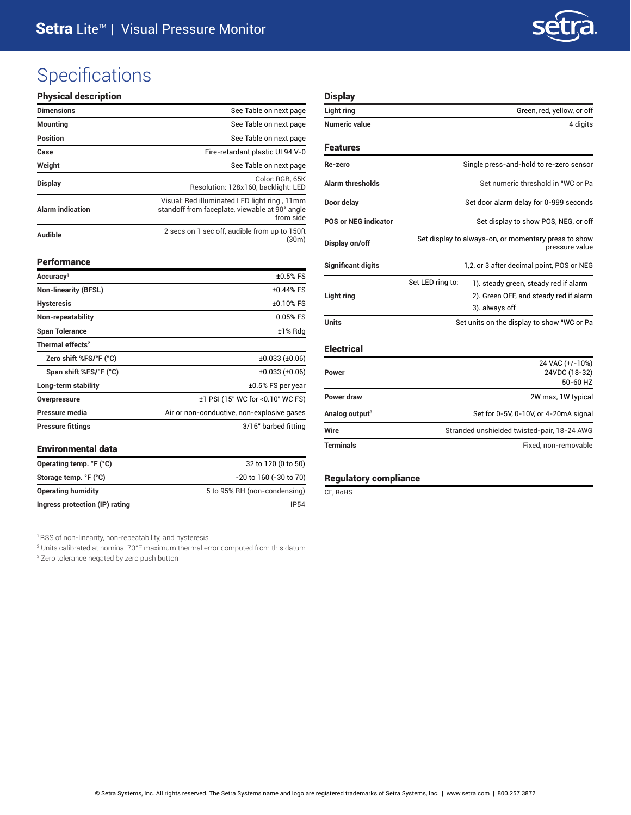

## **Specifications**

#### Physical description

| <b>Dimensions</b>                                        | See Table on next page                                                                                      |
|----------------------------------------------------------|-------------------------------------------------------------------------------------------------------------|
| <b>Mounting</b>                                          | See Table on next page                                                                                      |
| <b>Position</b>                                          | See Table on next page                                                                                      |
| Case                                                     | Fire-retardant plastic UL94 V-0                                                                             |
| Weight                                                   | See Table on next page                                                                                      |
| <b>Display</b>                                           | Color: RGB, 65K<br>Resolution: 128x160, backlight: LED                                                      |
| <b>Alarm indication</b>                                  | Visual: Red illuminated LED light ring, 11mm<br>standoff from faceplate, viewable at 90° angle<br>from side |
| 2 secs on 1 sec off, audible from up to 150ft<br>Audible |                                                                                                             |

#### Performance

| Accuracy <sup>1</sup>        | $±0.5%$ FS                                 |  |
|------------------------------|--------------------------------------------|--|
| <b>Non-linearity (BFSL)</b>  | $±0.44%$ FS                                |  |
| <b>Hysteresis</b>            | $±0.10%$ FS                                |  |
| Non-repeatability            | $0.05%$ FS                                 |  |
| <b>Span Tolerance</b>        | ±1% Rdg                                    |  |
| Thermal effects <sup>2</sup> |                                            |  |
| Zero shift %FS/°F (°C)       | ±0.033(±0.06)                              |  |
| Span shift %FS/°F (°C)       | ±0.033(±0.06)                              |  |
| Long-term stability          | $±0.5\%$ FS per year                       |  |
| Overpressure                 | ±1 PSI (15" WC for <0.10" WC FS)           |  |
| Pressure media               | Air or non-conductive, non-explosive gases |  |
| <b>Pressure fittings</b>     | 3/16" barbed fitting                       |  |

#### **Environmental data**

| Operating temp. °F (°C)        | 32 to 120 (0 to 50)          |  |
|--------------------------------|------------------------------|--|
| Storage temp. °F (°C)          | -20 to 160 (-30 to 70)       |  |
| <b>Operating humidity</b>      | 5 to 95% RH (non-condensing) |  |
| Ingress protection (IP) rating | IP54                         |  |

<sup>1</sup> RSS of non-linearity, non-repeatability, and hysteresis

2 Units calibrated at nominal 70°F maximum thermal error computed from this datum

3 Zero tolerance negated by zero push button

#### **Display**

| Light ring                  | Green, red, yellow, or off<br>4 digits                                 |                                                          |  |
|-----------------------------|------------------------------------------------------------------------|----------------------------------------------------------|--|
| <b>Numeric value</b>        |                                                                        |                                                          |  |
| <b>Features</b>             |                                                                        |                                                          |  |
| Re-zero                     | Single press-and-hold to re-zero sensor                                |                                                          |  |
| <b>Alarm thresholds</b>     | Set numeric threshold in "WC or Pa                                     |                                                          |  |
| Door delay                  | Set door alarm delay for 0-999 seconds                                 |                                                          |  |
| <b>POS or NEG indicator</b> | Set display to show POS, NEG, or off                                   |                                                          |  |
| Display on/off              | Set display to always-on, or momentary press to show<br>pressure value |                                                          |  |
| <b>Significant digits</b>   | 1,2, or 3 after decimal point, POS or NEG                              |                                                          |  |
|                             | Set LED ring to:                                                       | 1). steady green, steady red if alarm                    |  |
| Light ring                  |                                                                        | 2). Green OFF, and steady red if alarm<br>3). always off |  |
| <b>Units</b>                | Set units on the display to show "WC or Pa                             |                                                          |  |

### Electrical

| <b>Terminals</b>           | Fixed, non-removable                                                                 |  |
|----------------------------|--------------------------------------------------------------------------------------|--|
| Wire                       | Set for 0-5V, 0-10V, or 4-20mA signal<br>Stranded unshielded twisted-pair, 18-24 AWG |  |
| Analog output <sup>3</sup> |                                                                                      |  |
| Power draw                 | 2W max, 1W typical                                                                   |  |
| Power                      | 24 VAC (+/-10%)<br>24VDC (18-32)<br>50-60 HZ                                         |  |

#### Regulatory compliance

CE, RoHS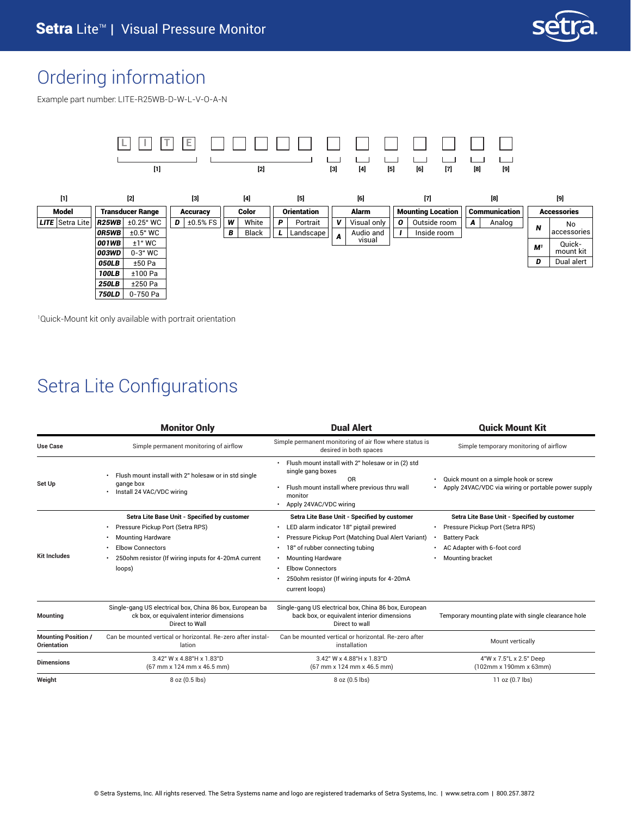

### Ordering information

Example part number: LITE-R25WB-D-W-L-V-O-A-N



1 Quick-Mount kit only available with portrait orientation

### Setra Lite Configurations

|                                           | <b>Monitor Only</b>                                                                                                                                                                                                    | <b>Dual Alert</b>                                                                                                                                                                                                                                                                                                                              | <b>Quick Mount Kit</b>                                                                                                                                     |
|-------------------------------------------|------------------------------------------------------------------------------------------------------------------------------------------------------------------------------------------------------------------------|------------------------------------------------------------------------------------------------------------------------------------------------------------------------------------------------------------------------------------------------------------------------------------------------------------------------------------------------|------------------------------------------------------------------------------------------------------------------------------------------------------------|
| <b>Use Case</b>                           | Simple permanent monitoring of airflow                                                                                                                                                                                 | Simple permanent monitoring of air flow where status is<br>desired in both spaces                                                                                                                                                                                                                                                              | Simple temporary monitoring of airflow                                                                                                                     |
| Set Up                                    | Flush mount install with 2" holesaw or in std single<br>gange box<br>Install 24 VAC/VDC wiring<br>$\bullet$                                                                                                            | Flush mount install with 2" holesaw or in (2) std<br>$\bullet$<br>single gang boxes<br>0 <sub>R</sub><br>Flush mount install where previous thru wall<br>monitor<br>Apply 24VAC/VDC wiring                                                                                                                                                     | Quick mount on a simple hook or screw<br>Apply 24VAC/VDC via wiring or portable power supply                                                               |
| <b>Kit Includes</b>                       | Setra Lite Base Unit - Specified by customer<br>Pressure Pickup Port (Setra RPS)<br>$\bullet$<br><b>Mounting Hardware</b><br><b>Elbow Connectors</b><br>250ohm resistor (If wiring inputs for 4-20mA current<br>loops) | Setra Lite Base Unit - Specified by customer<br>LED alarm indicator 18" pigtail prewired<br>$\bullet$<br>Pressure Pickup Port (Matching Dual Alert Variant)<br>$\bullet$<br>18" of rubber connecting tubing<br><b>Mounting Hardware</b><br>٠<br><b>Elbow Connectors</b><br>٠<br>250ohm resistor (If wiring inputs for 4-20mA<br>current loops) | Setra Lite Base Unit - Specified by customer<br>Pressure Pickup Port (Setra RPS)<br><b>Battery Pack</b><br>AC Adapter with 6-foot cord<br>Mounting bracket |
| <b>Mounting</b>                           | Single-gang US electrical box, China 86 box, European ba<br>ck box, or equivalent interior dimensions<br>Direct to Wall                                                                                                | Single-gang US electrical box, China 86 box, European<br>back box, or equivalent interior dimensions<br>Direct to wall                                                                                                                                                                                                                         | Temporary mounting plate with single clearance hole                                                                                                        |
| <b>Mounting Position /</b><br>Orientation | Can be mounted vertical or horizontal. Re-zero after instal-<br>lation                                                                                                                                                 | Can be mounted vertical or horizontal. Re-zero after<br>installation                                                                                                                                                                                                                                                                           | Mount vertically                                                                                                                                           |
| <b>Dimensions</b>                         | 3.42" W x 4.88"H x 1.83"D<br>(67 mm x 124 mm x 46.5 mm)                                                                                                                                                                | 3.42" W x 4.88"H x 1.83"D<br>(67 mm x 124 mm x 46.5 mm)                                                                                                                                                                                                                                                                                        | 4"W x 7.5"L x 2.5" Deep<br>(102mm x 190mm x 63mm)                                                                                                          |
| Weight                                    | 8 oz (0.5 lbs)                                                                                                                                                                                                         | 8 oz (0.5 lbs)                                                                                                                                                                                                                                                                                                                                 | $11 oz (0.7$ lbs)                                                                                                                                          |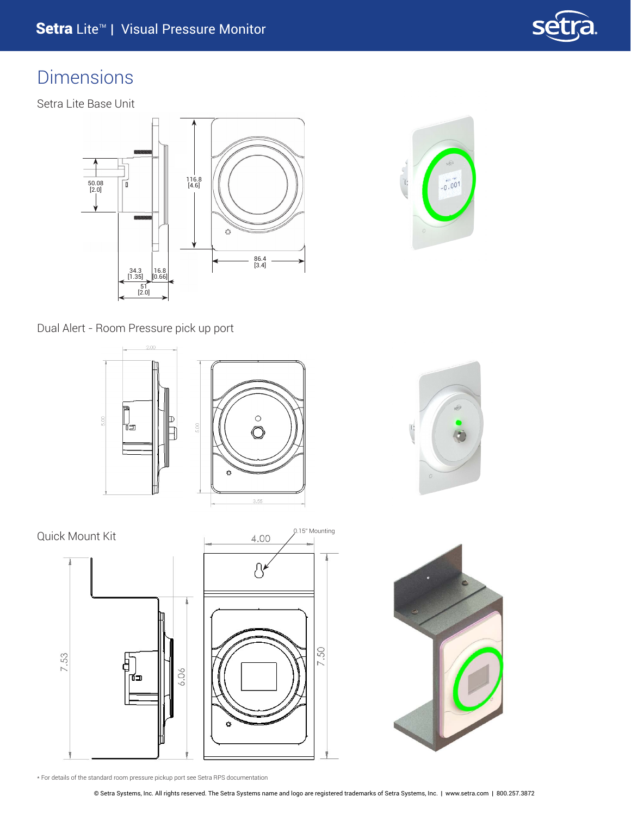

### Dimensions

Setra Lite Base Unit





Dual Alert - Room Pressure pick up port









\* For details of the standard room pressure pickup port see Setra RPS documentation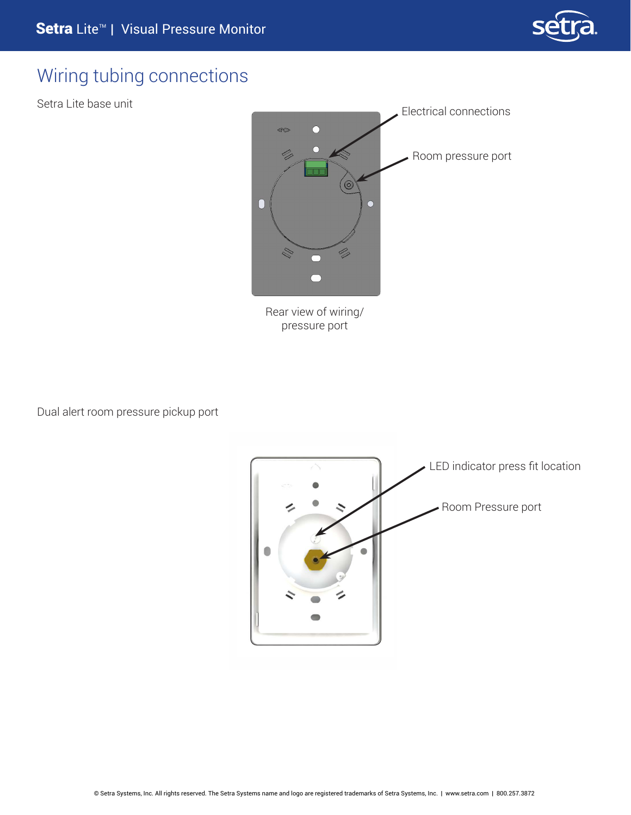

### Wiring tubing connections

Setra Lite base unit



pressure port

Dual alert room pressure pickup port